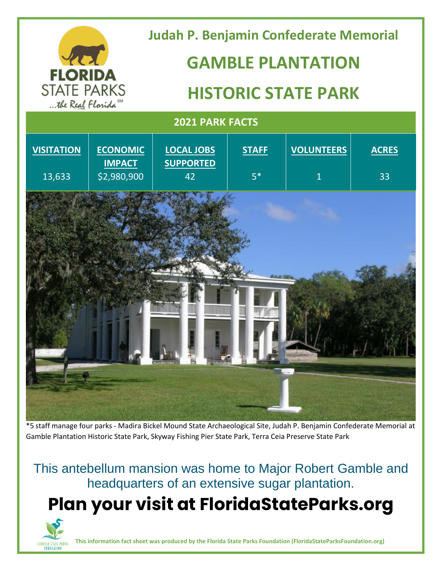| <b>FLORIDA</b><br><b>STATE PARKS</b><br>the Real Florida <sup>SM</sup> |                                                 | <b>Judah P. Benjamin Confederate Memorial</b><br><b>GAMBLE PLANTATION</b><br><b>HISTORIC STATE PARK</b> |                      |                                     |                    |
|------------------------------------------------------------------------|-------------------------------------------------|---------------------------------------------------------------------------------------------------------|----------------------|-------------------------------------|--------------------|
| <b>2021 PARK FACTS</b>                                                 |                                                 |                                                                                                         |                      |                                     |                    |
| <b>VISITATION</b><br>13,633                                            | <b>ECONOMIC</b><br><b>IMPACT</b><br>\$2,980,900 | <b>LOCAL JOBS</b><br><b>SUPPORTED</b><br>42                                                             | <b>STAFF</b><br>$5*$ | <b>VOLUNTEERS</b><br>$\overline{1}$ | <b>ACRES</b><br>33 |
|                                                                        |                                                 |                                                                                                         |                      |                                     |                    |

\*5 staff manage four parks - Madira Bickel Mound State Archaeological Site, Judah P. Benjamin Confederate Memorial at Gamble Plantation Historic State Park, Skyway Fishing Pier State Park, Terra Ceia Preserve State Park

This antebellum mansion was home to Major Robert Gamble and headquarters of an extensive sugar plantation.

 **Plan your visit at FloridaStateParks.org**



**This information fact sheet was produced by the Florida State Parks Foundation (FloridaStateParksFoundation.org)**